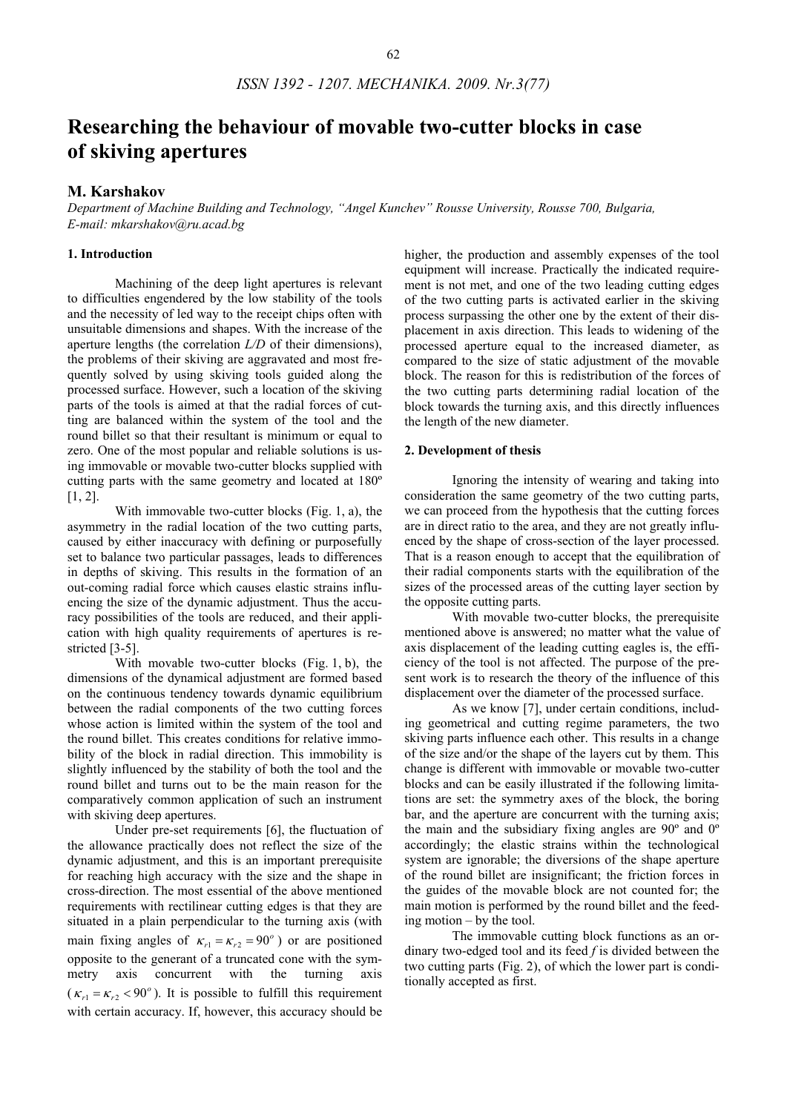# **Researching the behaviour of movable two-cutter blocks in case of skiving apertures**

## **M. Karshakov**

*Department of Machine Building and Technology, "Angel Kunchev" Rousse University, Rousse 700, Bulgaria, E-mail: mkarshakov@ru.acad.bg* 

# **1. Introduction**

Machining of the deep light apertures is relevant to difficulties engendered by the low stability of the tools and the necessity of led way to the receipt chips often with unsuitable dimensions and shapes. With the increase of the aperture lengths (the correlation *L/D* of their dimensions), the problems of their skiving are aggravated and most frequently solved by using skiving tools guided along the processed surface. However, such a location of the skiving parts of the tools is aimed at that the radial forces of cutting are balanced within the system of the tool and the round billet so that their resultant is minimum or equal to zero. One of the most popular and reliable solutions is using immovable or movable two-cutter blocks supplied with cutting parts with the same geometry and located at 180º [1, 2].

With immovable two-cutter blocks (Fig. 1, a), the asymmetry in the radial location of the two cutting parts, caused by either inaccuracy with defining or purposefully set to balance two particular passages, leads to differences in depths of skiving. This results in the formation of an out-coming radial force which causes elastic strains influencing the size of the dynamic adjustment. Thus the accuracy possibilities of the tools are reduced, and their application with high quality requirements of apertures is restricted [3-5].

With movable two-cutter blocks (Fig. 1, b), the dimensions of the dynamical adjustment are formed based on the continuous tendency towards dynamic equilibrium between the radial components of the two cutting forces whose action is limited within the system of the tool and the round billet. This creates conditions for relative immobility of the block in radial direction. This immobility is slightly influenced by the stability of both the tool and the round billet and turns out to be the main reason for the comparatively common application of such an instrument with skiving deep apertures.

Under pre-set requirements [6], the fluctuation of the allowance practically does not reflect the size of the dynamic adjustment, and this is an important prerequisite for reaching high accuracy with the size and the shape in cross-direction. The most essential of the above mentioned requirements with rectilinear cutting edges is that they are situated in a plain perpendicular to the turning axis (with main fixing angles of  $\kappa_{r1} = \kappa_{r2} = 90^\circ$ ) or are positioned opposite to the generant of a truncated cone with the symmetry axis concurrent with the turning axis  $(\kappa_{r1} = \kappa_{r2} < 90^\circ)$ . It is possible to fulfill this requirement with certain accuracy. If, however, this accuracy should be

higher, the production and assembly expenses of the tool equipment will increase. Practically the indicated requirement is not met, and one of the two leading cutting edges of the two cutting parts is activated earlier in the skiving process surpassing the other one by the extent of their displacement in axis direction. This leads to widening of the processed aperture equal to the increased diameter, as compared to the size of static adjustment of the movable block. The reason for this is redistribution of the forces of the two cutting parts determining radial location of the block towards the turning axis, and this directly influences the length of the new diameter.

#### **2. Development of thesis**

Ignoring the intensity of wearing and taking into consideration the same geometry of the two cutting parts, we can proceed from the hypothesis that the cutting forces are in direct ratio to the area, and they are not greatly influenced by the shape of cross-section of the layer processed. That is a reason enough to accept that the equilibration of their radial components starts with the equilibration of the sizes of the processed areas of the cutting layer section by the opposite cutting parts.

With movable two-cutter blocks, the prerequisite mentioned above is answered; no matter what the value of axis displacement of the leading cutting eagles is, the efficiency of the tool is not affected. The purpose of the present work is to research the theory of the influence of this displacement over the diameter of the processed surface.

As we know [7], under certain conditions, including geometrical and cutting regime parameters, the two skiving parts influence each other. This results in a change of the size and/or the shape of the layers cut by them. This change is different with immovable or movable two-cutter blocks and can be easily illustrated if the following limitations are set: the symmetry axes of the block, the boring bar, and the aperture are concurrent with the turning axis; the main and the subsidiary fixing angles are 90º and 0º accordingly; the elastic strains within the technological system are ignorable; the diversions of the shape aperture of the round billet are insignificant; the friction forces in the guides of the movable block are not counted for; the main motion is performed by the round billet and the feeding motion – by the tool.

The immovable cutting block functions as an ordinary two-edged tool and its feed *f* is divided between the two cutting parts (Fig. 2), of which the lower part is conditionally accepted as first.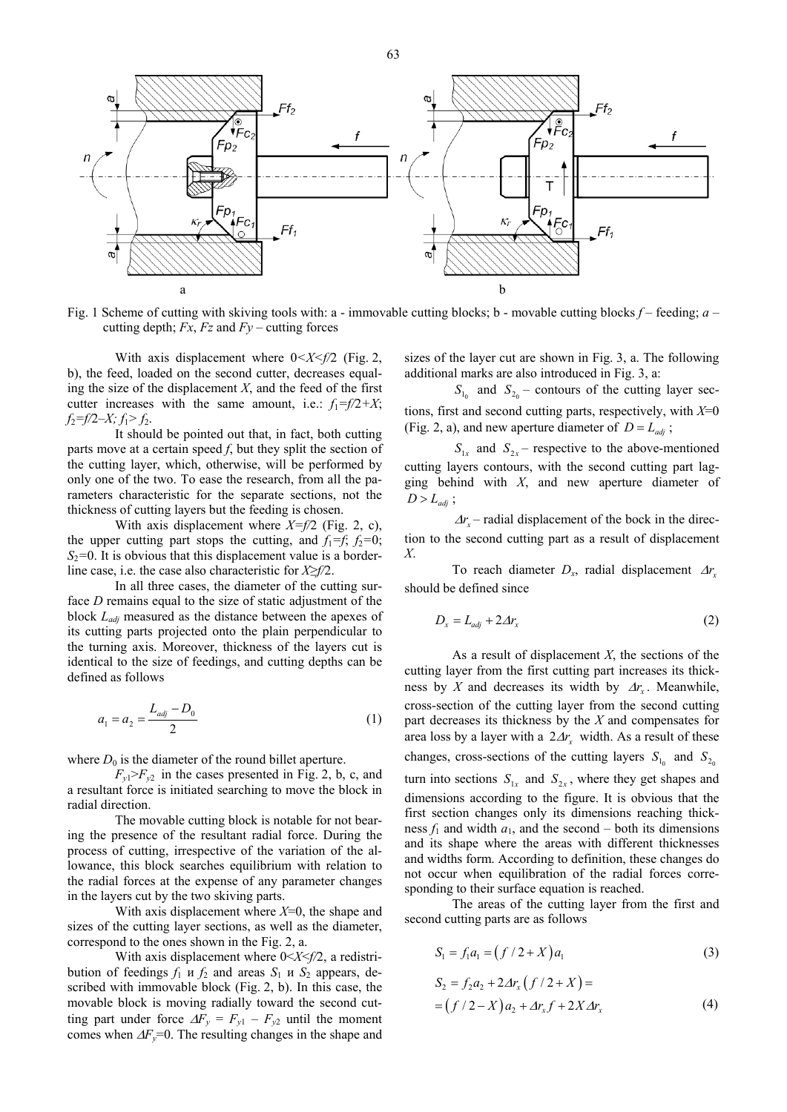

Fig. 1 Scheme of cutting with skiving tools with: a - immovable cutting blocks; b - movable cutting blocks *f* – feeding; *a* – cutting depth;  $Fx$ ,  $Fz$  and  $Fy$  – cutting forces

With axis displacement where  $0 < X < f/2$  (Fig. 2, b), the feed, loaded on the second cutter, decreases equaling the size of the displacement  $X$ , and the feed of the first cutter increases with the same amount, i.e.:  $f_1 = f/2 + X$ ;  $f_2 = f/2 - X$ ;  $f_1 > f_2$ .

It should be pointed out that, in fact, both cutting parts move at a certain speed *f*, but they split the section of the cutting layer, which, otherwise, will be performed by only one of the two. To ease the research, from all the parameters characteristic for the separate sections, not the thickness of cutting layers but the feeding is chosen.

With axis displacement where *X=f/2* (Fig. 2, c), the upper cutting part stops the cutting, and  $f_1 = f$ ;  $f_2 = 0$ ;  $S_2$ =0. It is obvious that this displacement value is a borderline case, i.e. the case also characteristic for *Х≥f/*2.

In all three cases, the diameter of the cutting surface *D* remains equal to the size of static adjustment of the block *Ladj* measured as the distance between the apexes of its cutting parts projected onto the plain perpendicular to the turning axis. Moreover, thickness of the layers cut is identical to the size of feedings, and cutting depths can be defined as follows

$$
a_1 = a_2 = \frac{L_{adj} - D_0}{2} \tag{1}
$$

where  $D_0$  is the diameter of the round billet aperture.

 $F_{y1} > F_{y2}$  in the cases presented in Fig. 2, b, c, and a resultant force is initiated searching to move the block in radial direction.

The movable cutting block is notable for not bearing the presence of the resultant radial force. During the process of cutting, irrespective of the variation of the allowance, this block searches equilibrium with relation to the radial forces at the expense of any parameter changes in the layers cut by the two skiving parts.

With axis displacement where  $X=0$ , the shape and sizes of the cutting layer sections, as well as the diameter, correspond to the ones shown in the Fig. 2, а.

With axis displacement where 0<*Х*<*f/*2, a redistribution of feedings  $f_1$  u  $f_2$  and areas  $S_1$  u  $S_2$  appears, described with immovable block (Fig. 2, b). In this case, the movable block is moving radially toward the second cutting part under force  $\Delta F_y = F_{y1} - F_{y2}$  until the moment comes when  $\Delta F_y = 0$ . The resulting changes in the shape and sizes of the layer cut are shown in Fig. 3, а. The following additional marks are also introduced in Fig. 3, a:

 $S<sub>10</sub>$  and  $S<sub>20</sub>$  – contours of the cutting layer sections, first and second cutting parts, respectively, with *Х*=0 (Fig. 2, a), and new aperture diameter of  $D = L_{adj}$ ;

 $S_{1x}$  and  $S_{2x}$  – respective to the above-mentioned cutting layers contours, with the second cutting part lagging behind with *Х*, and new aperture diameter of  $D > L_{\text{adj}}$ ;

 $\Delta r$  – radial displacement of the bock in the direction to the second cutting part as a result of displacement *Х*.

To reach diameter  $D_x$ , radial displacement  $\Delta r$ should be defined since

$$
D_x = L_{adj} + 2\Delta r_x \tag{2}
$$

As a result of displacement *X*, the sections of the cutting layer from the first cutting part increases its thickness by *X* and decreases its width by  $\Delta r$ . Meanwhile, cross-section of the cutting layer from the second cutting part decreases its thickness by the *Х* and compensates for area loss by a layer with a  $2\Delta r$ , width. As a result of these changes, cross-sections of the cutting layers  $S_{1<sub>0</sub>}$  and  $S_{2<sub>0</sub>}$ turn into sections  $S_{1x}$  and  $S_{2x}$ , where they get shapes and dimensions according to the figure. It is obvious that the first section changes only its dimensions reaching thickness  $f_1$  and width  $a_1$ , and the second – both its dimensions and its shape where the areas with different thicknesses and widths form. According to definition, these changes do not occur when equilibration of the radial forces corresponding to their surface equation is reached.

The areas of the cutting layer from the first and second cutting parts are as follows

$$
S_1 = f_1 a_1 = (f/2 + X) a_1 \tag{3}
$$

$$
S_2 = f_2 a_2 + 2 \Delta r_x (f/2 + X) =
$$
  
=  $(f/2 - X) a_2 + \Delta r_x f + 2 X \Delta r_x$  (4)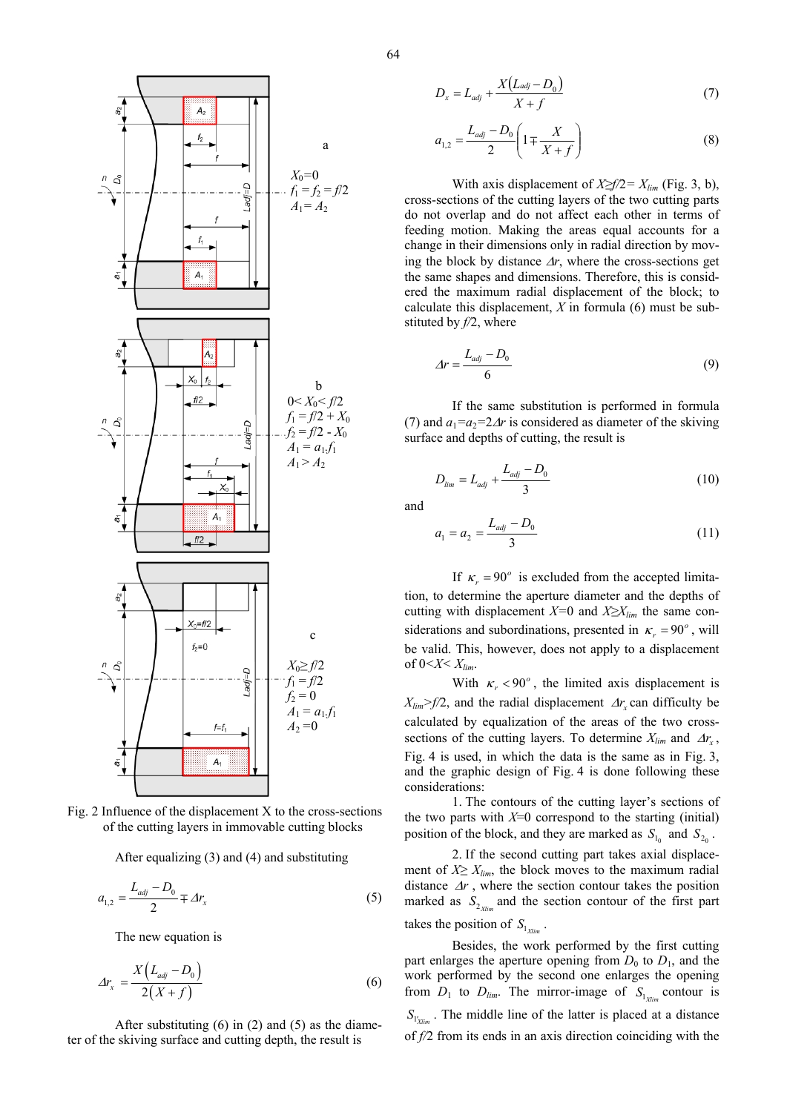

Fig. 2 Influence of the displacement X to the cross-sections of the cutting layers in immovable cutting blocks

After equalizing (3) and (4) and substituting

$$
a_{1,2} = \frac{L_{adj} - D_0}{2} \mp \varDelta r_x \tag{5}
$$

The new equation is

$$
\varDelta r_x = \frac{X\left(L_{adj} - D_0\right)}{2\left(X + f\right)}\tag{6}
$$

After substituting  $(6)$  in  $(2)$  and  $(5)$  as the diameter of the skiving surface and cutting depth, the result is

$$
D_x = L_{adj} + \frac{X(L_{adj} - D_0)}{X + f}
$$
 (7)

$$
a_{1,2} = \frac{L_{adj} - D_0}{2} \left( 1 \mp \frac{X}{X + f} \right) \tag{8}
$$

With axis displacement of  $X \ge f/2 = X_{lim}$  (Fig. 3, b), cross-sections of the cutting layers of the two cutting parts do not overlap and do not affect each other in terms of feeding motion. Making the areas equal accounts for a change in their dimensions only in radial direction by moving the block by distance  $\Delta r$ , where the cross-sections get the same shapes and dimensions. Therefore, this is considered the maximum radial displacement of the block; to calculate this displacement, *Х* in formula (6) must be substituted by *f/*2, where

$$
\Delta r = \frac{L_{adj} - D_0}{6} \tag{9}
$$

If the same substitution is performed in formula (7) and  $a_1 = a_2 = 2\Delta r$  is considered as diameter of the skiving surface and depths of cutting, the result is

$$
D_{\lim} = L_{adj} + \frac{L_{adj} - D_0}{3} \tag{10}
$$

and

$$
a_1 = a_2 = \frac{L_{adj} - D_0}{3} \tag{11}
$$

If  $\kappa_r = 90^\circ$  is excluded from the accepted limitation, to determine the aperture diameter and the depths of cutting with displacement *Х=*0 and *Х≥Xlim* the same considerations and subordinations, presented in  $\kappa_r = 90^\circ$ , will be valid. This, however, does not apply to a displacement of  $0 < X < X_{lim}$ .

With  $\kappa_r < 90^\circ$ , the limited axis displacement is  $X_{lim}$  >  $f/2$ , and the radial displacement  $\Delta r$ , can difficulty be calculated by equalization of the areas of the two crosssections of the cutting layers. To determine  $X_{lim}$  and  $\Delta r_x$ , Fig. 4 is used, in which the data is the same as in Fig. 3, and the graphic design of Fig. 4 is done following these considerations:

1. The contours of the cutting layer's sections of the two parts with  $X=0$  correspond to the starting (initial) position of the block, and they are marked as  $S_{1}$  and  $S_{2}$ .

2. If the second cutting part takes axial displacement of  $X \geq X_{lim}$ , the block moves to the maximum radial distance  $\Delta r$ , where the section contour takes the position marked as  $S_{2 \text{ times}}$  and the section contour of the first part takes the position of  $S_{1_{Y/m}}$ .

Besides, the work performed by the first cutting part enlarges the aperture opening from  $D_0$  to  $D_1$ , and the work performed by the second one enlarges the opening from  $D_1$  to  $D_{lim}$ . The mirror-image of  $S_{1_{Xlim}}$  contour is  $S_{\mathbf{r}'_{\text{train}}}$ . The middle line of the latter is placed at a distance of *f/*2 from its ends in an axis direction coinciding with the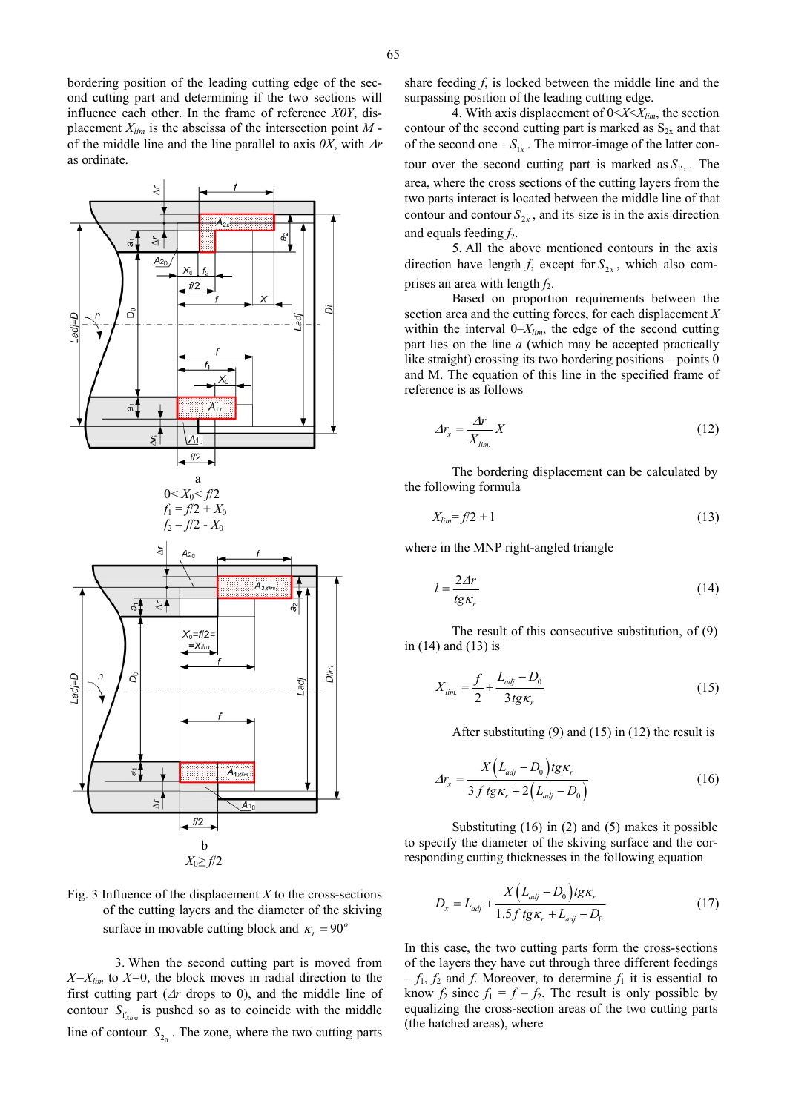bordering position of the leading cutting edge of the second cutting part and determining if the two sections will influence each other. In the frame of reference *Х0Y*, displacement *Xlim* is the abscissa of the intersection point *М* of the middle line and the line parallel to axis *0Х*, with Δ*r* as ordinate.



3. When the second cutting part is moved from  $X = X_{lim}$  to  $X = 0$ , the block moves in radial direction to the first cutting part (Δ*r* drops to 0), and the middle line of contour  $S_{V_{Xlim}}$  is pushed so as to coincide with the middle line of contour  $S_{2<sub>o</sub>}$ . The zone, where the two cutting parts

share feeding *f*, is locked between the middle line and the surpassing position of the leading cutting edge.

4. With axis displacement of 0<*Х*<*Хlim*, the section contour of the second cutting part is marked as  $S_{2x}$  and that of the second one  $-S_{1x}$ . The mirror-image of the latter contour over the second cutting part is marked as  $S_{1x}$ . The area, where the cross sections of the cutting layers from the two parts interact is located between the middle line of that contour and contour  $S_{2x}$ , and its size is in the axis direction and equals feeding  $f_2$ .

5. All the above mentioned contours in the axis direction have length *f*, except for  $S_{2x}$ , which also comprises an area with length  $f_2$ .

Based on proportion requirements between the section area and the cutting forces, for each displacement *Х* within the interval 0–*X*<sub>*lim*</sub>, the edge of the second cutting part lies on the line *а* (which may be accepted practically like straight) crossing its two bordering positions – points 0 and М. The equation of this line in the specified frame of reference is as follows

$$
\Delta r_x = \frac{\Delta r}{X_{\lim}} X \tag{12}
$$

The bordering displacement can be calculated by the following formula

$$
X_{\text{lim}} = f/2 + 1 \tag{13}
$$

where in the MNP right-angled triangle

$$
l = \frac{2\Delta r}{tg\kappa_r} \tag{14}
$$

The result of this consecutive substitution, of (9) in (14) and (13) is

$$
X_{\lim.} = \frac{f}{2} + \frac{L_{adj} - D_0}{3tg\kappa_r} \tag{15}
$$

After substituting (9) and (15) in (12) the result is

$$
\Delta r_x = \frac{X (L_{adj} - D_0) t g \kappa_r}{3 f t g \kappa_r + 2 (L_{adj} - D_0)}
$$
(16)

Substituting (16) in (2) and (5) makes it possible to specify the diameter of the skiving surface and the corresponding cutting thicknesses in the following equation

$$
D_x = L_{adj} + \frac{X (L_{adj} - D_0) t g \kappa_r}{1.5 f t g \kappa_r + L_{adj} - D_0}
$$
 (17)

In this case, the two cutting parts form the cross-sections of the layers they have cut through three different feedings  $-f_1, f_2$  and *f*. Moreover, to determine  $f_1$  it is essential to know  $f_2$  since  $f_1 = f - f_2$ . The result is only possible by equalizing the cross-section areas of the two cutting parts (the hatched areas), where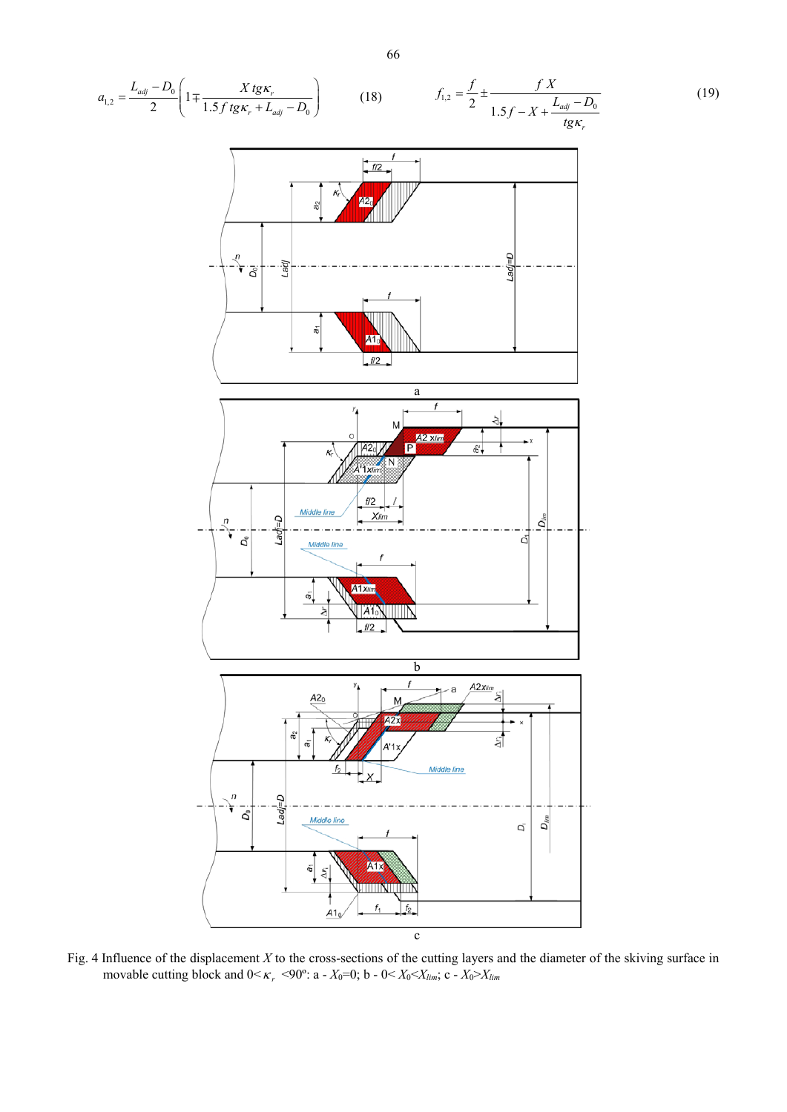$$
a_{1,2} = \frac{L_{\omega_0} - D_0}{2} \left( 1 \pm \frac{X \, t g \, \kappa_0 + L_{\omega_0} - D_0}{1.5 \, f \, t g \, \kappa_0 + L_{\omega_0} - D_0} \right) \qquad (18) \qquad f_{1,2} = \frac{f}{2} \pm \frac{f}{1.5 \, f - X + \frac{L_{\omega_0} - D_0}{t g \, \kappa_0}} \qquad (19)
$$

Fig. 4 Influence of the displacement *X* to the cross-sections of the cutting layers and the diameter of the skiving surface in movable cutting block and  $0 \le \kappa_r$  <90°: a -  $X_0$ =0; b -  $0 \le X_0 \le X_{lim}$ ; c -  $X_0 \ge X_{lim}$